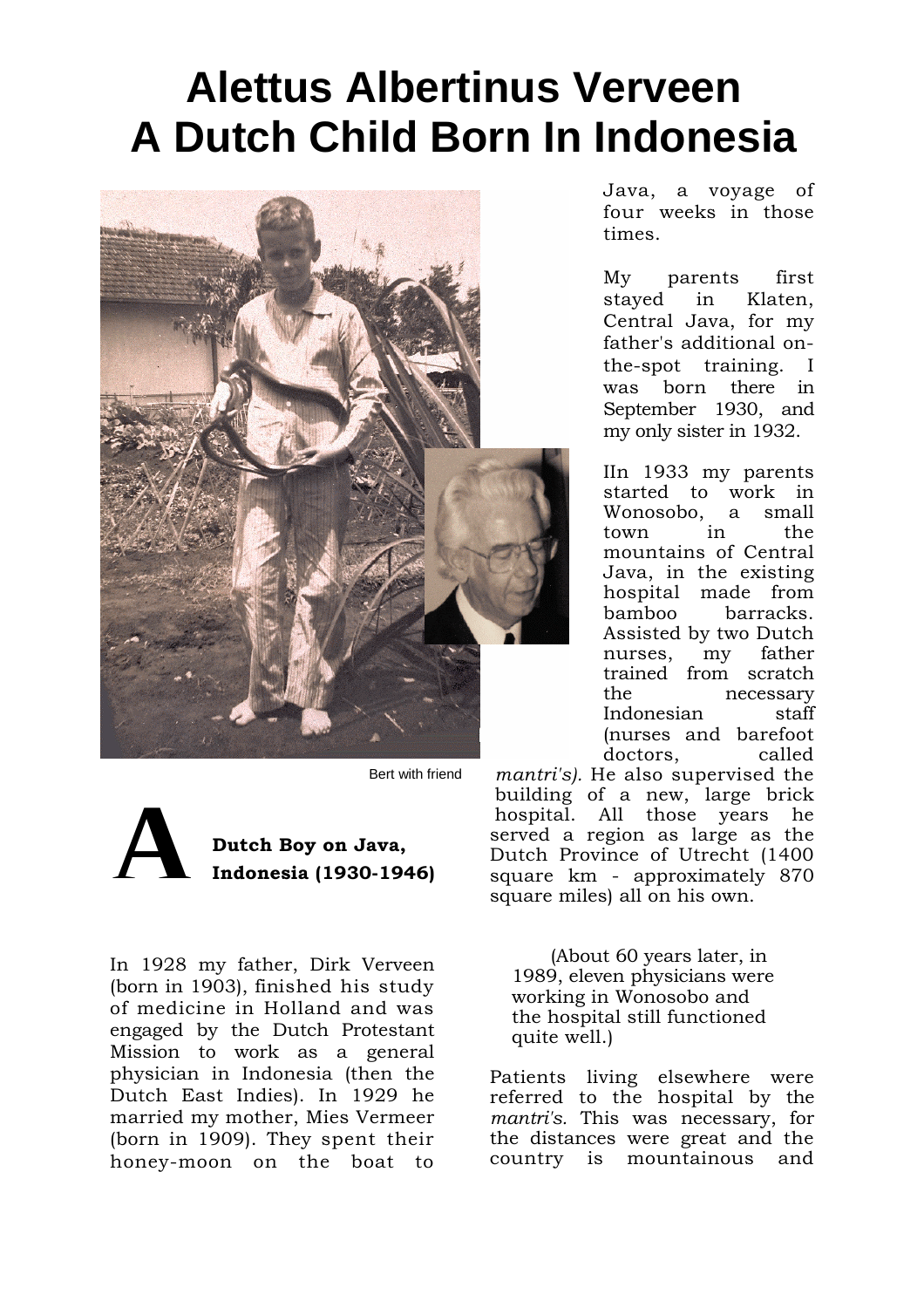## **Alettus Albertinus Verveen A Dutch Child Born In Indonesia**



Bert with friend



In 1928 my father, Dirk Verveen (born in 1903), finished his study of medicine in Holland and was engaged by the Dutch Protestant Mission to work as a general physician in Indonesia (then the Dutch East Indies). In 1929 he married my mother, Mies Vermeer (born in 1909). They spent their honey-moon on the boat to

Java, a voyage of four weeks in those times.

My parents first stayed in Klaten, Central Java, for my father's additional onthe-spot training. I was born there in September 1930, and my only sister in 1932.

IIn 1933 my parents started to work in Wonosobo, a small town in the mountains of Central Java, in the existing hospital made from bamboo barracks. Assisted by two Dutch nurses, my father trained from scratch the necessary Indonesian staff (nurses and barefoot doctors, called

*mantri's).* He also supervised the building of a new, large brick hospital. All those years he served a region as large as the Dutch Province of Utrecht (1400 square km - approximately 870 square miles) all on his own.

 (About 60 years later, in 1989, eleven physicians were working in Wonosobo and the hospital still functioned quite well.)

Patients living elsewhere were referred to the hospital by the *mantri's.* This was necessary, for the distances were great and the country is mountainous and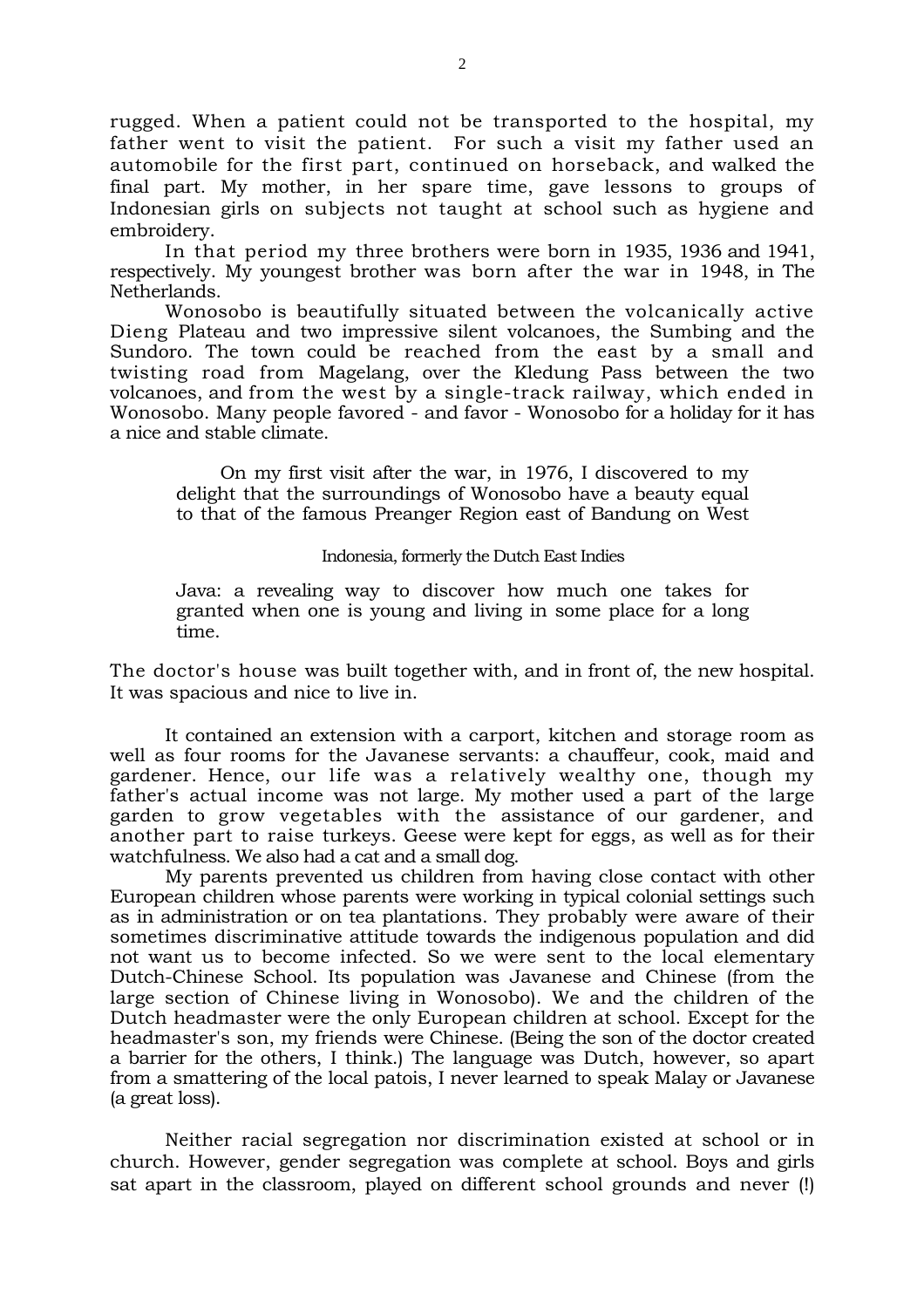rugged. When a patient could not be transported to the hospital, my father went to visit the patient. For such a visit my father used an automobile for the first part, continued on horseback, and walked the final part. My mother, in her spare time, gave lessons to groups of Indonesian girls on subjects not taught at school such as hygiene and embroidery.

In that period my three brothers were born in 1935, 1936 and 1941, respectively. My youngest brother was born after the war in 1948, in The Netherlands.

Wonosobo is beautifully situated between the volcanically active Dieng Plateau and two impressive silent volcanoes, the Sumbing and the Sundoro. The town could be reached from the east by a small and twisting road from Magelang, over the Kledung Pass between the two volcanoes, and from the west by a single-track railway, which ended in Wonosobo. Many people favored - and favor - Wonosobo for a holiday for it has a nice and stable climate.

On my first visit after the war, in 1976, I discovered to my delight that the surroundings of Wonosobo have a beauty equal to that of the famous Preanger Region east of Bandung on West

## Indonesia, formerly the Dutch East Indies

Java: a revealing way to discover how much one takes for granted when one is young and living in some place for a long time.

The doctor's house was built together with, and in front of, the new hospital. It was spacious and nice to live in.

It contained an extension with a carport, kitchen and storage room as well as four rooms for the Javanese servants: a chauffeur, cook, maid and gardener. Hence, our life was a relatively wealthy one, though my father's actual income was not large. My mother used a part of the large garden to grow vegetables with the assistance of our gardener, and another part to raise turkeys. Geese were kept for eggs, as well as for their watchfulness. We also had a cat and a small dog.

My parents prevented us children from having close contact with other European children whose parents were working in typical colonial settings such as in administration or on tea plantations. They probably were aware of their sometimes discriminative attitude towards the indigenous population and did not want us to become infected. So we were sent to the local elementary Dutch-Chinese School. Its population was Javanese and Chinese (from the large section of Chinese living in Wonosobo). We and the children of the Dutch headmaster were the only European children at school. Except for the headmaster's son, my friends were Chinese. (Being the son of the doctor created a barrier for the others, I think.) The language was Dutch, however, so apart from a smattering of the local patois, I never learned to speak Malay or Javanese (a great loss).

Neither racial segregation nor discrimination existed at school or in church. However, gender segregation was complete at school. Boys and girls sat apart in the classroom, played on different school grounds and never (!)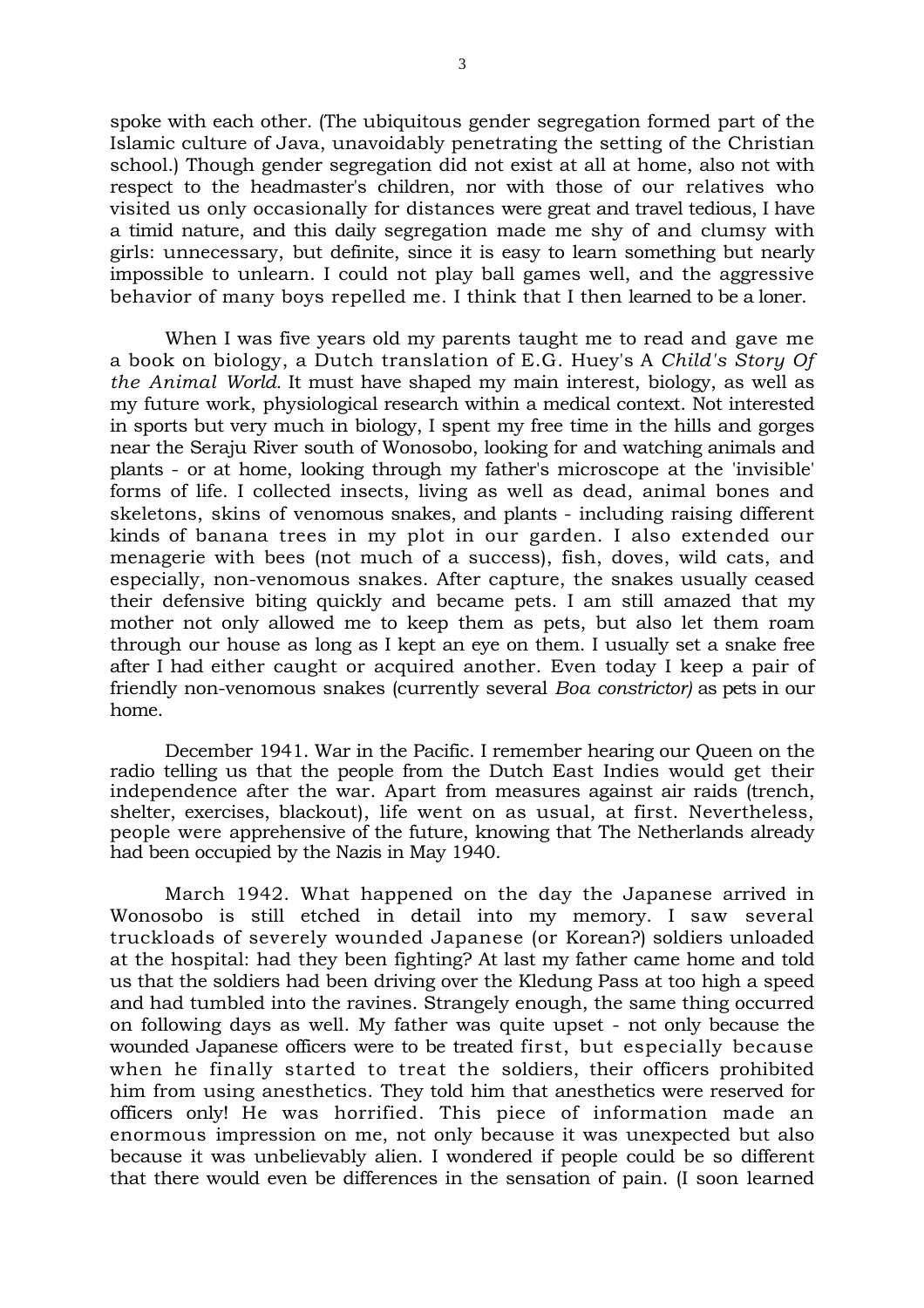spoke with each other. (The ubiquitous gender segregation formed part of the Islamic culture of Java, unavoidably penetrating the setting of the Christian school.) Though gender segregation did not exist at all at home, also not with respect to the headmaster's children, nor with those of our relatives who visited us only occasionally for distances were great and travel tedious, I have a timid nature, and this daily segregation made me shy of and clumsy with girls: unnecessary, but definite, since it is easy to learn something but nearly impossible to unlearn. I could not play ball games well, and the aggressive behavior of many boys repelled me. I think that I then learned to be a loner.

When I was five years old my parents taught me to read and gave me a book on biology, a Dutch translation of E.G. Huey's A *Child's Story Of the Animal World.* It must have shaped my main interest, biology, as well as my future work, physiological research within a medical context. Not interested in sports but very much in biology, I spent my free time in the hills and gorges near the Seraju River south of Wonosobo, looking for and watching animals and plants - or at home, looking through my father's microscope at the 'invisible' forms of life. I collected insects, living as well as dead, animal bones and skeletons, skins of venomous snakes, and plants - including raising different kinds of banana trees in my plot in our garden. I also extended our menagerie with bees (not much of a success), fish, doves, wild cats, and especially, non-venomous snakes. After capture, the snakes usually ceased their defensive biting quickly and became pets. I am still amazed that my mother not only allowed me to keep them as pets, but also let them roam through our house as long as I kept an eye on them. I usually set a snake free after I had either caught or acquired another. Even today I keep a pair of friendly non-venomous snakes (currently several *Boa constrictor)* as pets in our home.

December 1941. War in the Pacific. I remember hearing our Queen on the radio telling us that the people from the Dutch East Indies would get their independence after the war. Apart from measures against air raids (trench, shelter, exercises, blackout), life went on as usual, at first. Nevertheless, people were apprehensive of the future, knowing that The Netherlands already had been occupied by the Nazis in May 1940.

March 1942. What happened on the day the Japanese arrived in Wonosobo is still etched in detail into my memory. I saw several truckloads of severely wounded Japanese (or Korean?) soldiers unloaded at the hospital: had they been fighting? At last my father came home and told us that the soldiers had been driving over the Kledung Pass at too high a speed and had tumbled into the ravines. Strangely enough, the same thing occurred on following days as well. My father was quite upset - not only because the wounded Japanese officers were to be treated first, but especially because when he finally started to treat the soldiers, their officers prohibited him from using anesthetics. They told him that anesthetics were reserved for officers only! He was horrified. This piece of information made an enormous impression on me, not only because it was unexpected but also because it was unbelievably alien. I wondered if people could be so different that there would even be differences in the sensation of pain. (I soon learned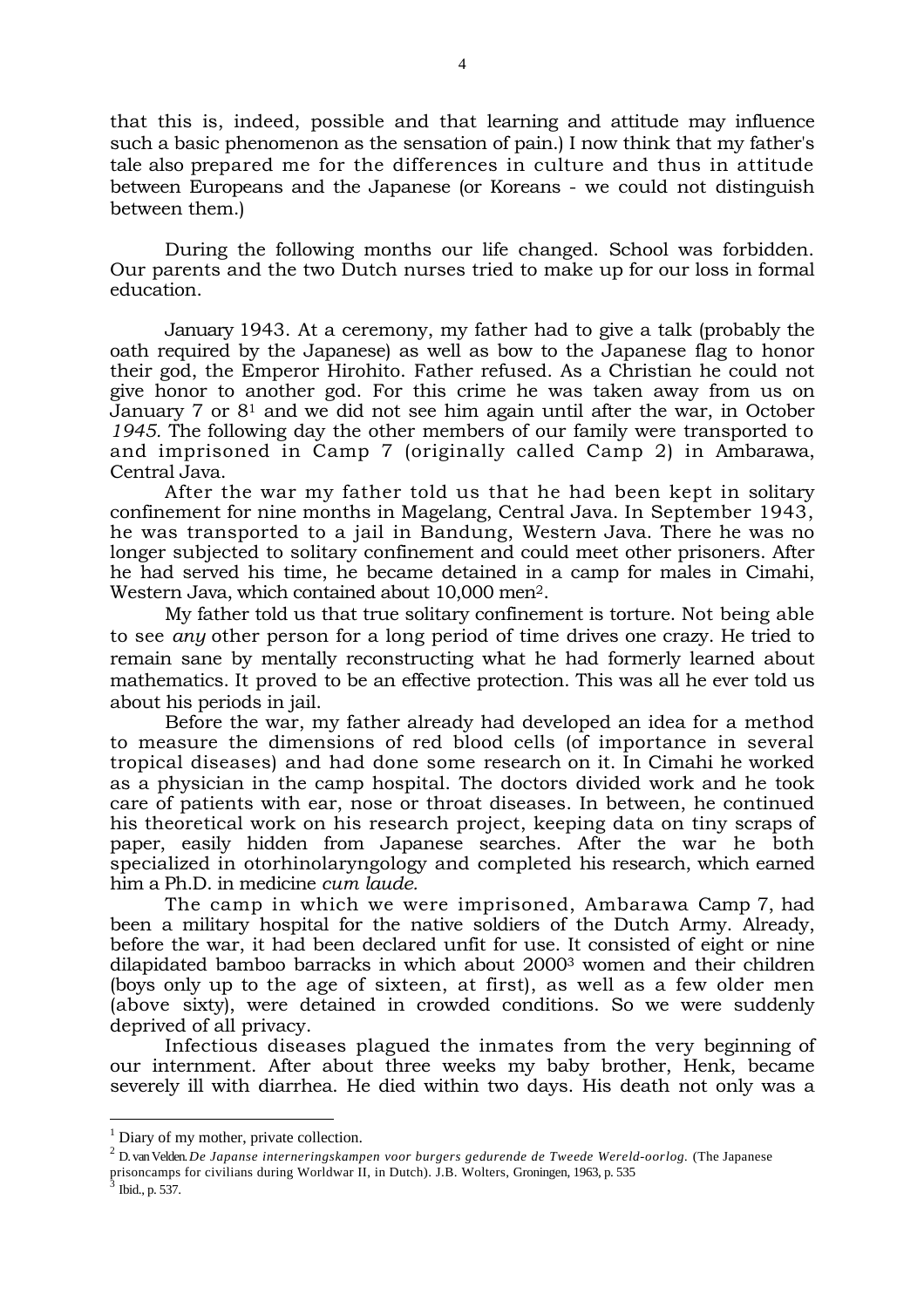that this is, indeed, possible and that learning and attitude may influence such a basic phenomenon as the sensation of pain.) I now think that my father's tale also prepared me for the differences in culture and thus in attitude between Europeans and the Japanese (or Koreans - we could not distinguish between them.)

During the following months our life changed. School was forbidden. Our parents and the two Dutch nurses tried to make up for our loss in formal education.

January 1943. At a ceremony, my father had to give a talk (probably the oath required by the Japanese) as well as bow to the Japanese flag to honor their god, the Emperor Hirohito. Father refused. As a Christian he could not give honor to another god. For this crime he was taken away from us on January 7 or 81 and we did not see him again until after the war, in October *1945.* The following day the other members of our family were transported to and imprisoned in Camp 7 (originally called Camp 2) in Ambarawa, Central Java.

After the war my father told us that he had been kept in solitary confinement for nine months in Magelang, Central Java. In September 1943, he was transported to a jail in Bandung, Western Java. There he was no longer subjected to solitary confinement and could meet other prisoners. After he had served his time, he became detained in a camp for males in Cimahi, Western Java, which contained about 10,000 men2.

My father told us that true solitary confinement is torture. Not being able to see *any* other person for a long period of time drives one crazy. He tried to remain sane by mentally reconstructing what he had formerly learned about mathematics. It proved to be an effective protection. This was all he ever told us about his periods in jail.

Before the war, my father already had developed an idea for a method to measure the dimensions of red blood cells (of importance in several tropical diseases) and had done some research on it. In Cimahi he worked as a physician in the camp hospital. The doctors divided work and he took care of patients with ear, nose or throat diseases. In between, he continued his theoretical work on his research project, keeping data on tiny scraps of paper, easily hidden from Japanese searches. After the war he both specialized in otorhinolaryngology and completed his research, which earned him a Ph.D. in medicine *cum laude.*

The camp in which we were imprisoned, Ambarawa Camp 7, had been a military hospital for the native soldiers of the Dutch Army. Already, before the war, it had been declared unfit for use. It consisted of eight or nine dilapidated bamboo barracks in which about 20003 women and their children (boys only up to the age of sixteen, at first), as well as a few older men (above sixty), were detained in crowded conditions. So we were suddenly deprived of all privacy.

Infectious diseases plagued the inmates from the very beginning of our internment. After about three weeks my baby brother, Henk, became severely ill with diarrhea. He died within two days. His death not only was a

 $<sup>1</sup>$  Diary of my mother, private collection.</sup>

<sup>2</sup> D. van Velden. *De Japanse interneringskampen voor burgers gedurende de Tweede Wereld-oorlog.* (The Japanese prisoncamps for civilians during Worldwar II, in Dutch). J.B. Wolters, Groningen, 1963, p. 535 3 Ibid., p. 537.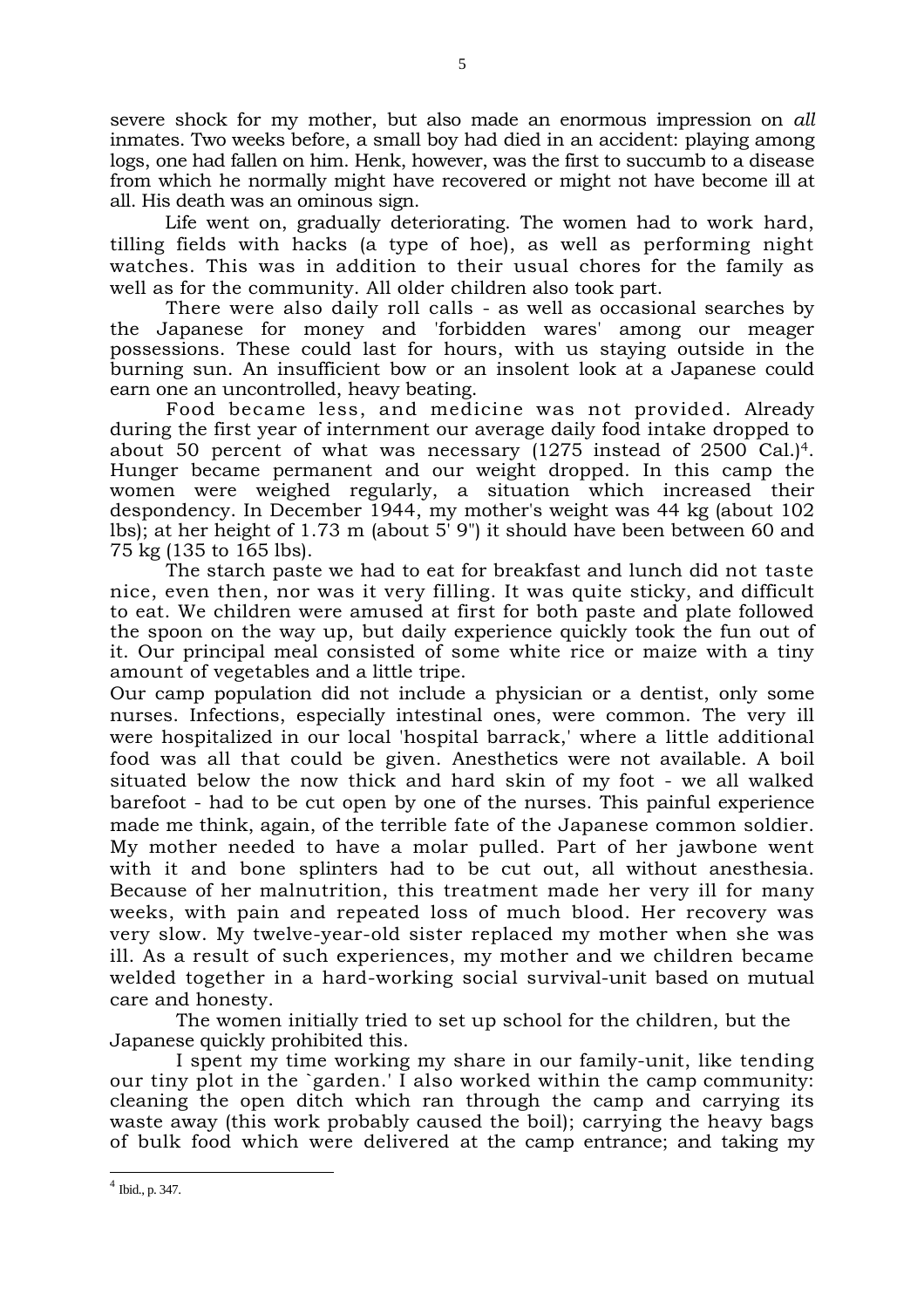severe shock for my mother, but also made an enormous impression on *all* inmates. Two weeks before, a small boy had died in an accident: playing among logs, one had fallen on him. Henk, however, was the first to succumb to a disease from which he normally might have recovered or might not have become ill at all. His death was an ominous sign.

Life went on, gradually deteriorating. The women had to work hard, tilling fields with hacks (a type of hoe), as well as performing night watches. This was in addition to their usual chores for the family as well as for the community. All older children also took part.

There were also daily roll calls - as well as occasional searches by the Japanese for money and 'forbidden wares' among our meager possessions. These could last for hours, with us staying outside in the burning sun. An insufficient bow or an insolent look at a Japanese could earn one an uncontrolled, heavy beating.

Food became less, and medicine was not provided. Already during the first year of internment our average daily food intake dropped to about 50 percent of what was necessary (1275 instead of 2500 Cal.)4. Hunger became permanent and our weight dropped. In this camp the women were weighed regularly, a situation which increased their despondency. In December 1944, my mother's weight was 44 kg (about 102 lbs); at her height of 1.73 m (about 5' 9") it should have been between 60 and 75 kg (135 to 165 lbs).

The starch paste we had to eat for breakfast and lunch did not taste nice, even then, nor was it very filling. It was quite sticky, and difficult to eat. We children were amused at first for both paste and plate followed the spoon on the way up, but daily experience quickly took the fun out of it. Our principal meal consisted of some white rice or maize with a tiny amount of vegetables and a little tripe.

Our camp population did not include a physician or a dentist, only some nurses. Infections, especially intestinal ones, were common. The very ill were hospitalized in our local 'hospital barrack,' where a little additional food was all that could be given. Anesthetics were not available. A boil situated below the now thick and hard skin of my foot - we all walked barefoot - had to be cut open by one of the nurses. This painful experience made me think, again, of the terrible fate of the Japanese common soldier. My mother needed to have a molar pulled. Part of her jawbone went with it and bone splinters had to be cut out, all without anesthesia. Because of her malnutrition, this treatment made her very ill for many weeks, with pain and repeated loss of much blood. Her recovery was very slow. My twelve-year-old sister replaced my mother when she was ill. As a result of such experiences, my mother and we children became welded together in a hard-working social survival-unit based on mutual care and honesty.

The women initially tried to set up school for the children, but the Japanese quickly prohibited this.

I spent my time working my share in our family-unit, like tending our tiny plot in the `garden.' I also worked within the camp community: cleaning the open ditch which ran through the camp and carrying its waste away (this work probably caused the boil); carrying the heavy bags of bulk food which were delivered at the camp entrance; and taking my

 $4$  Ibid., p. 347.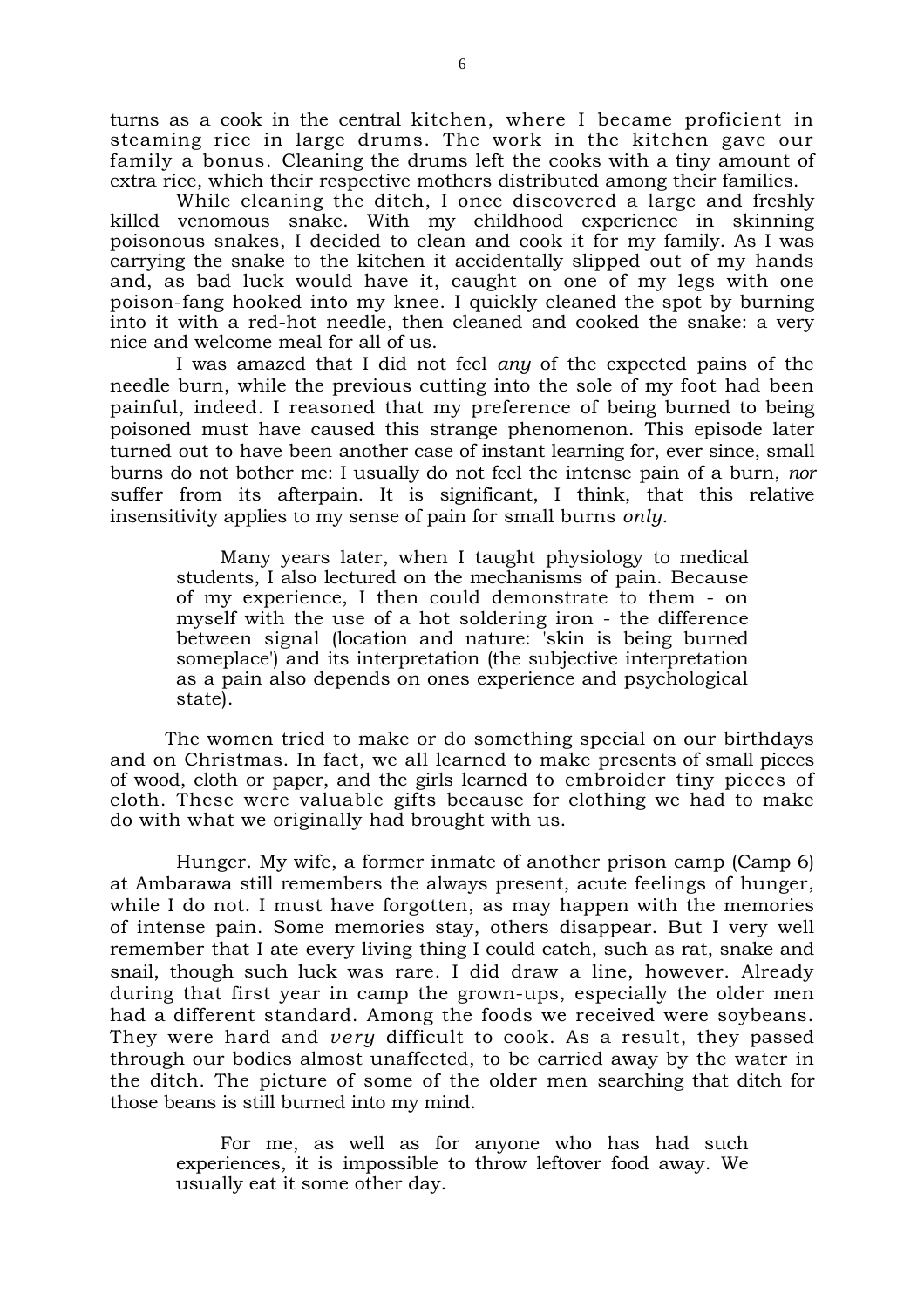turns as a cook in the central kitchen, where I became proficient in steaming rice in large drums. The work in the kitchen gave our family a bonus. Cleaning the drums left the cooks with a tiny amount of extra rice, which their respective mothers distributed among their families.

While cleaning the ditch, I once discovered a large and freshly killed venomous snake. With my childhood experience in skinning poisonous snakes, I decided to clean and cook it for my family. As I was carrying the snake to the kitchen it accidentally slipped out of my hands and, as bad luck would have it, caught on one of my legs with one poison-fang hooked into my knee. I quickly cleaned the spot by burning into it with a red-hot needle, then cleaned and cooked the snake: a very nice and welcome meal for all of us.

I was amazed that I did not feel *any* of the expected pains of the needle burn, while the previous cutting into the sole of my foot had been painful, indeed. I reasoned that my preference of being burned to being poisoned must have caused this strange phenomenon. This episode later turned out to have been another case of instant learning for, ever since, small burns do not bother me: I usually do not feel the intense pain of a burn, *nor* suffer from its afterpain. It is significant, I think, that this relative insensitivity applies to my sense of pain for small burns *only.*

Many years later, when I taught physiology to medical students, I also lectured on the mechanisms of pain. Because of my experience, I then could demonstrate to them - on myself with the use of a hot soldering iron - the difference between signal (location and nature: 'skin is being burned someplace') and its interpretation (the subjective interpretation as a pain also depends on ones experience and psychological state).

The women tried to make or do something special on our birthdays and on Christmas. In fact, we all learned to make presents of small pieces of wood, cloth or paper, and the girls learned to embroider tiny pieces of cloth. These were valuable gifts because for clothing we had to make do with what we originally had brought with us.

Hunger. My wife, a former inmate of another prison camp (Camp 6) at Ambarawa still remembers the always present, acute feelings of hunger, while I do not. I must have forgotten, as may happen with the memories of intense pain. Some memories stay, others disappear. But I very well remember that I ate every living thing I could catch, such as rat, snake and snail, though such luck was rare. I did draw a line, however. Already during that first year in camp the grown-ups, especially the older men had a different standard. Among the foods we received were soybeans. They were hard and *very* difficult to cook. As a result, they passed through our bodies almost unaffected, to be carried away by the water in the ditch. The picture of some of the older men searching that ditch for those beans is still burned into my mind.

For me, as well as for anyone who has had such experiences, it is impossible to throw leftover food away. We usually eat it some other day.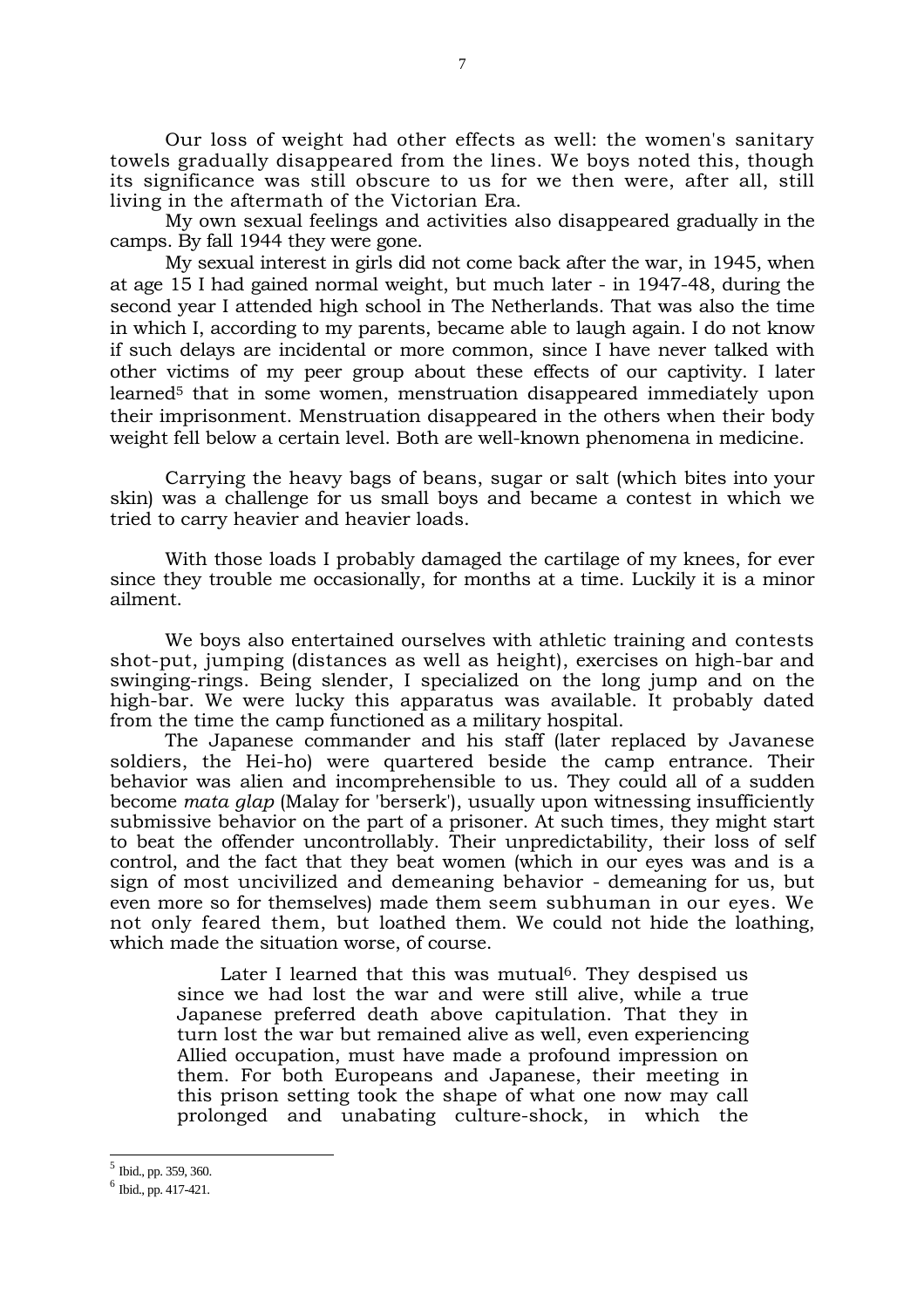Our loss of weight had other effects as well: the women's sanitary towels gradually disappeared from the lines. We boys noted this, though its significance was still obscure to us for we then were, after all, still living in the aftermath of the Victorian Era.

My own sexual feelings and activities also disappeared gradually in the camps. By fall 1944 they were gone.

My sexual interest in girls did not come back after the war, in 1945, when at age 15 I had gained normal weight, but much later - in 1947-48, during the second year I attended high school in The Netherlands. That was also the time in which I, according to my parents, became able to laugh again. I do not know if such delays are incidental or more common, since I have never talked with other victims of my peer group about these effects of our captivity. I later learned<sup>5</sup> that in some women, menstruation disappeared immediately upon their imprisonment. Menstruation disappeared in the others when their body weight fell below a certain level. Both are well-known phenomena in medicine.

Carrying the heavy bags of beans, sugar or salt (which bites into your skin) was a challenge for us small boys and became a contest in which we tried to carry heavier and heavier loads.

With those loads I probably damaged the cartilage of my knees, for ever since they trouble me occasionally, for months at a time. Luckily it is a minor ailment.

We boys also entertained ourselves with athletic training and contests shot-put, jumping (distances as well as height), exercises on high-bar and swinging-rings. Being slender, I specialized on the long jump and on the high-bar. We were lucky this apparatus was available. It probably dated from the time the camp functioned as a military hospital.

The Japanese commander and his staff (later replaced by Javanese soldiers, the Hei-ho) were quartered beside the camp entrance. Their behavior was alien and incomprehensible to us. They could all of a sudden become *mata glap* (Malay for 'berserk'), usually upon witnessing insufficiently submissive behavior on the part of a prisoner. At such times, they might start to beat the offender uncontrollably. Their unpredictability, their loss of self control, and the fact that they beat women (which in our eyes was and is a sign of most uncivilized and demeaning behavior - demeaning for us, but even more so for themselves) made them seem subhuman in our eyes. We not only feared them, but loathed them. We could not hide the loathing, which made the situation worse, of course.

Later I learned that this was mutual<sup> $6$ </sup>. They despised us since we had lost the war and were still alive, while a true Japanese preferred death above capitulation. That they in turn lost the war but remained alive as well, even experiencing Allied occupation, must have made a profound impression on them. For both Europeans and Japanese, their meeting in this prison setting took the shape of what one now may call prolonged and unabating culture-shock, in which the

<sup>5</sup> Ibid., pp. 359, 360.

 $6$  Ibid., pp. 417-421.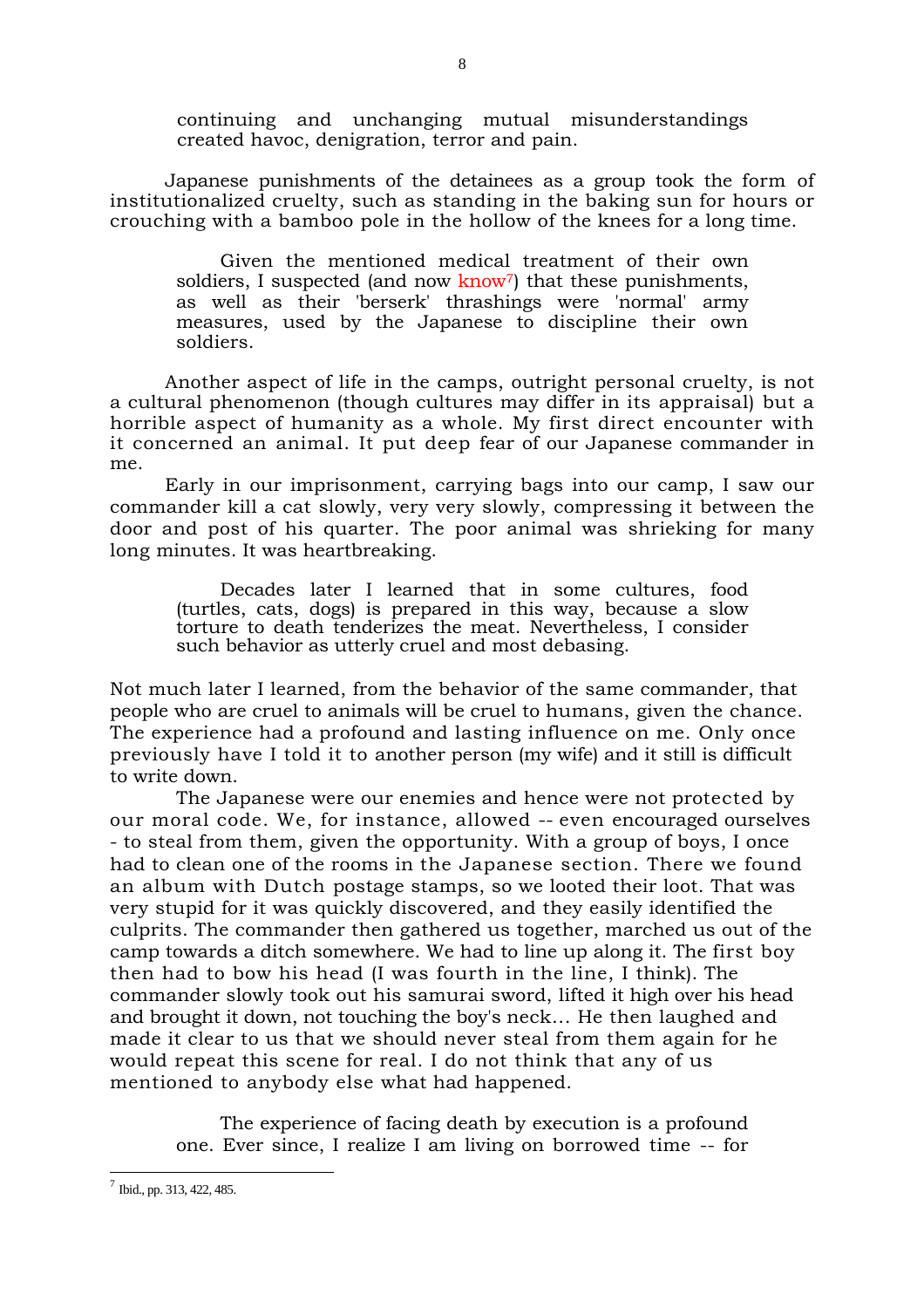continuing and unchanging mutual misunderstandings created havoc, denigration, terror and pain.

8

Japanese punishments of the detainees as a group took the form of institutionalized cruelty, such as standing in the baking sun for hours or crouching with a bamboo pole in the hollow of the knees for a long time.

Given the mentioned medical treatment of their own soldiers, I suspected (and now know<sup>7</sup>) that these punishments, as well as their 'berserk' thrashings were 'normal' army measures, used by the Japanese to discipline their own soldiers.

Another aspect of life in the camps, outright personal cruelty, is not a cultural phenomenon (though cultures may differ in its appraisal) but a horrible aspect of humanity as a whole. My first direct encounter with it concerned an animal. It put deep fear of our Japanese commander in me.

Early in our imprisonment, carrying bags into our camp, I saw our commander kill a cat slowly, very very slowly, compressing it between the door and post of his quarter. The poor animal was shrieking for many long minutes. It was heartbreaking.

Decades later I learned that in some cultures, food (turtles, cats, dogs) is prepared in this way, because a slow torture to death tenderizes the meat. Nevertheless, I consider such behavior as utterly cruel and most debasing.

Not much later I learned, from the behavior of the same commander, that people who are cruel to animals will be cruel to humans, given the chance. The experience had a profound and lasting influence on me. Only once previously have I told it to another person (my wife) and it still is difficult to write down.

The Japanese were our enemies and hence were not protected by our moral code. We, for instance, allowed -- even encouraged ourselves - to steal from them, given the opportunity. With a group of boys, I once had to clean one of the rooms in the Japanese section. There we found an album with Dutch postage stamps, so we looted their loot. That was very stupid for it was quickly discovered, and they easily identified the culprits. The commander then gathered us together, marched us out of the camp towards a ditch somewhere. We had to line up along it. The first boy then had to bow his head (I was fourth in the line, I think). The commander slowly took out his samurai sword, lifted it high over his head and brought it down, not touching the boy's neck... He then laughed and made it clear to us that we should never steal from them again for he would repeat this scene for real. I do not think that any of us mentioned to anybody else what had happened.

The experience of facing death by execution is a profound one. Ever since, I realize I am living on borrowed time -- for

 $<sup>7</sup>$  Ibid., pp. 313, 422, 485.</sup>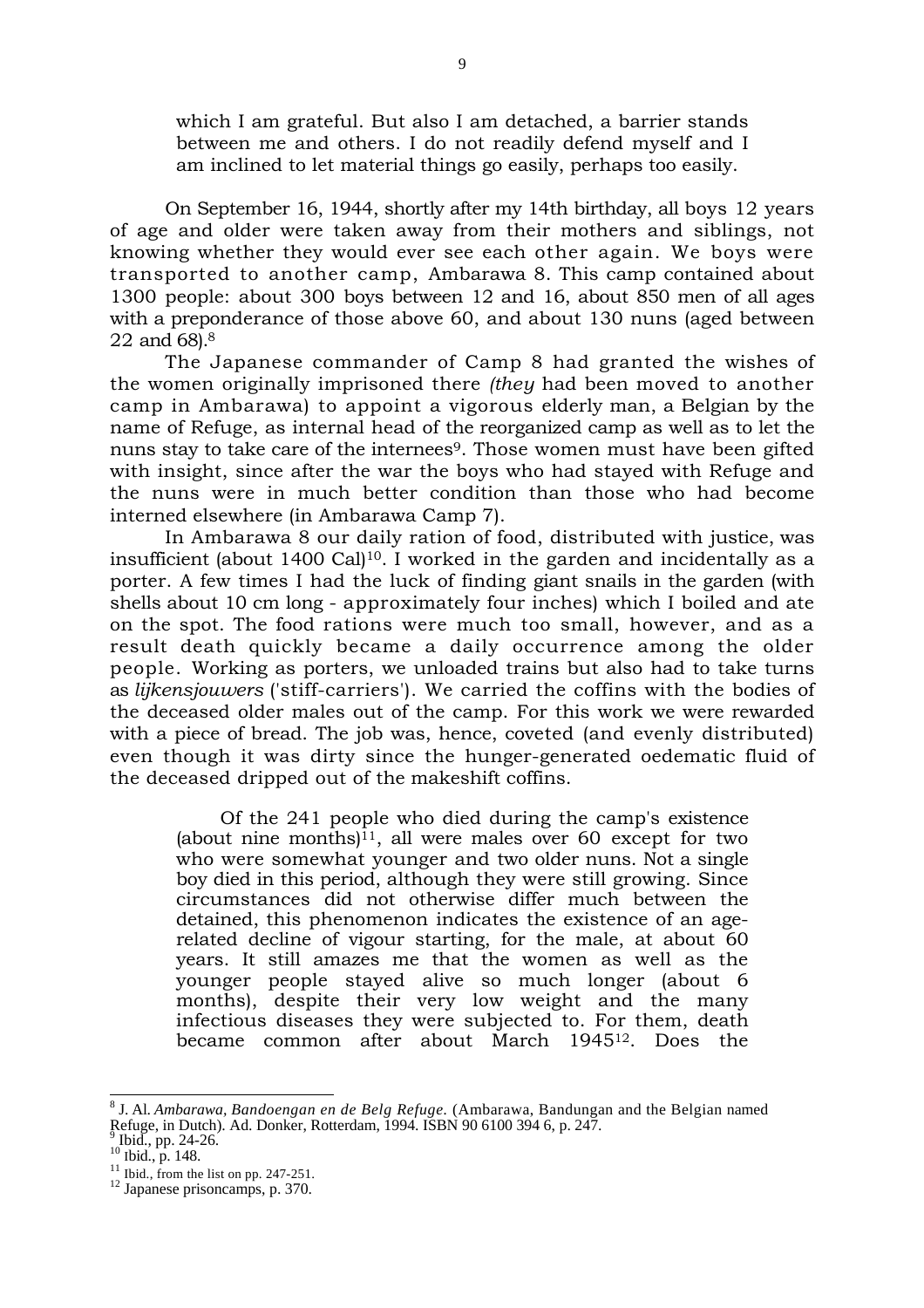which I am grateful. But also I am detached, a barrier stands between me and others. I do not readily defend myself and I am inclined to let material things go easily, perhaps too easily.

On September 16, 1944, shortly after my 14th birthday, all boys 12 years of age and older were taken away from their mothers and siblings, not knowing whether they would ever see each other again. We boys were transported to another camp, Ambarawa 8. This camp contained about 1300 people: about 300 boys between 12 and 16, about 850 men of all ages with a preponderance of those above 60, and about 130 nuns (aged between 22 and 68).8

The Japanese commander of Camp 8 had granted the wishes of the women originally imprisoned there *(they* had been moved to another camp in Ambarawa) to appoint a vigorous elderly man, a Belgian by the name of Refuge, as internal head of the reorganized camp as well as to let the nuns stay to take care of the internees<sup>9</sup>. Those women must have been gifted with insight, since after the war the boys who had stayed with Refuge and the nuns were in much better condition than those who had become interned elsewhere (in Ambarawa Camp 7).

In Ambarawa 8 our daily ration of food, distributed with justice, was insufficient (about 1400 Cal)<sup>10</sup>. I worked in the garden and incidentally as a porter. A few times I had the luck of finding giant snails in the garden (with shells about 10 cm long - approximately four inches) which I boiled and ate on the spot. The food rations were much too small, however, and as a result death quickly became a daily occurrence among the older people. Working as porters, we unloaded trains but also had to take turns as *lijkensjouwers* ('stiff-carriers'). We carried the coffins with the bodies of the deceased older males out of the camp. For this work we were rewarded with a piece of bread. The job was, hence, coveted (and evenly distributed) even though it was dirty since the hunger-generated oedematic fluid of the deceased dripped out of the makeshift coffins.

Of the 241 people who died during the camp's existence (about nine months) $11$ , all were males over 60 except for two who were somewhat younger and two older nuns. Not a single boy died in this period, although they were still growing. Since circumstances did not otherwise differ much between the detained, this phenomenon indicates the existence of an agerelated decline of vigour starting, for the male, at about 60 years. It still amazes me that the women as well as the younger people stayed alive so much longer (about 6 months), despite their very low weight and the many infectious diseases they were subjected to. For them, death became common after about March 194512. Does the

 $\overline{a}$ 

<sup>8</sup> J. Al. *Ambarawa, Bandoengan en de Belg Refuge.* (Ambarawa, Bandungan and the Belgian named Refuge, in Dutch). Ad. Donker, Rotterdam, 1994. ISBN 90 6100 394 6, p. 247.

<sup>9</sup> Ibid., pp. 24-26.<br><sup>10</sup> Ibid., p. 148.<br><sup>11</sup> Ibid., from the list on pp. 247-251.<br><sup>12</sup> Japanese prisoncamps, p. 370.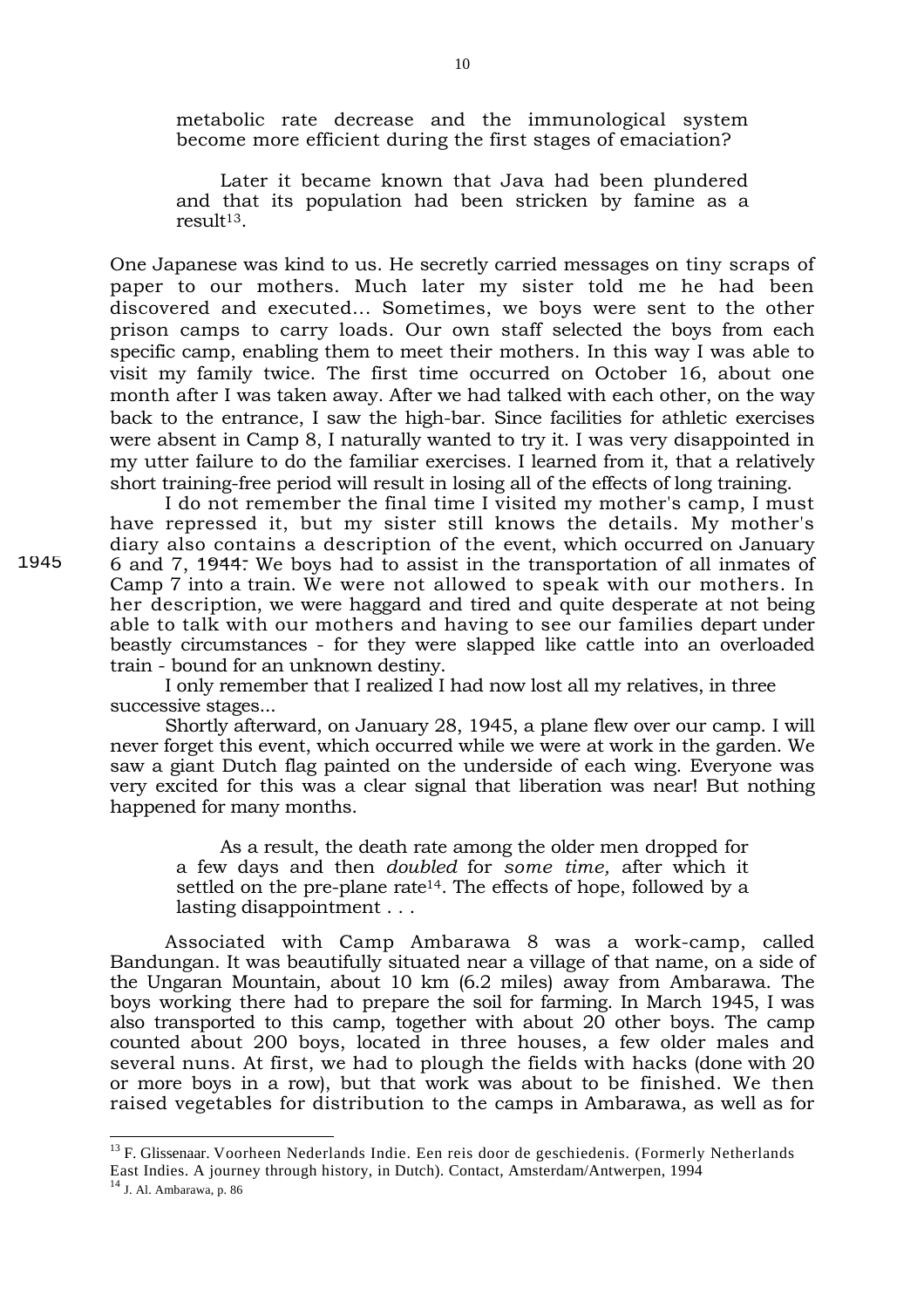metabolic rate decrease and the immunological system become more efficient during the first stages of emaciation?

Later it became known that Java had been plundered and that its population had been stricken by famine as a result $13$ .

One Japanese was kind to us. He secretly carried messages on tiny scraps of paper to our mothers. Much later my sister told me he had been discovered and executed... Sometimes, we boys were sent to the other prison camps to carry loads. Our own staff selected the boys from each specific camp, enabling them to meet their mothers. In this way I was able to visit my family twice. The first time occurred on October 16, about one month after I was taken away. After we had talked with each other, on the way back to the entrance, I saw the high-bar. Since facilities for athletic exercises were absent in Camp 8, I naturally wanted to try it. I was very disappointed in my utter failure to do the familiar exercises. I learned from it, that a relatively short training-free period will result in losing all of the effects of long training.

I do not remember the final time I visited my mother's camp, I must have repressed it, but my sister still knows the details. My mother's diary also contains a description of the event, which occurred on January  $1945$  6 and 7, 1944. We boys had to assist in the transportation of all inmates of Camp 7 into a train. We were not allowed to speak with our mothers. In her description, we were haggard and tired and quite desperate at not being able to talk with our mothers and having to see our families depart under beastly circumstances - for they were slapped like cattle into an overloaded train - bound for an unknown destiny.

> I only remember that I realized I had now lost all my relatives, in three successive stages...

Shortly afterward, on January 28, 1945, a plane flew over our camp. I will never forget this event, which occurred while we were at work in the garden. We saw a giant Dutch flag painted on the underside of each wing. Everyone was very excited for this was a clear signal that liberation was near! But nothing happened for many months.

As a result, the death rate among the older men dropped for a few days and then *doubled* for *some time,* after which it settled on the pre-plane rate<sup>14</sup>. The effects of hope, followed by a lasting disappointment . . .

Associated with Camp Ambarawa 8 was a work-camp, called Bandungan. It was beautifully situated near a village of that name, on a side of the Ungaran Mountain, about 10 km (6.2 miles) away from Ambarawa. The boys working there had to prepare the soil for farming. In March 1945, I was also transported to this camp, together with about 20 other boys. The camp counted about 200 boys, located in three houses, a few older males and several nuns. At first, we had to plough the fields with hacks (done with 20 or more boys in a row), but that work was about to be finished. We then raised vegetables for distribution to the camps in Ambarawa, as well as for

<sup>&</sup>lt;sup>13</sup> F. Glissenaar. Voorheen Nederlands Indie. Een reis door de geschiedenis. (Formerly Netherlands East Indies. A journey through history, in Dutch). Contact, Amsterdam/Antwerpen, 1994

 $14$  J. Al. Ambarawa, p. 86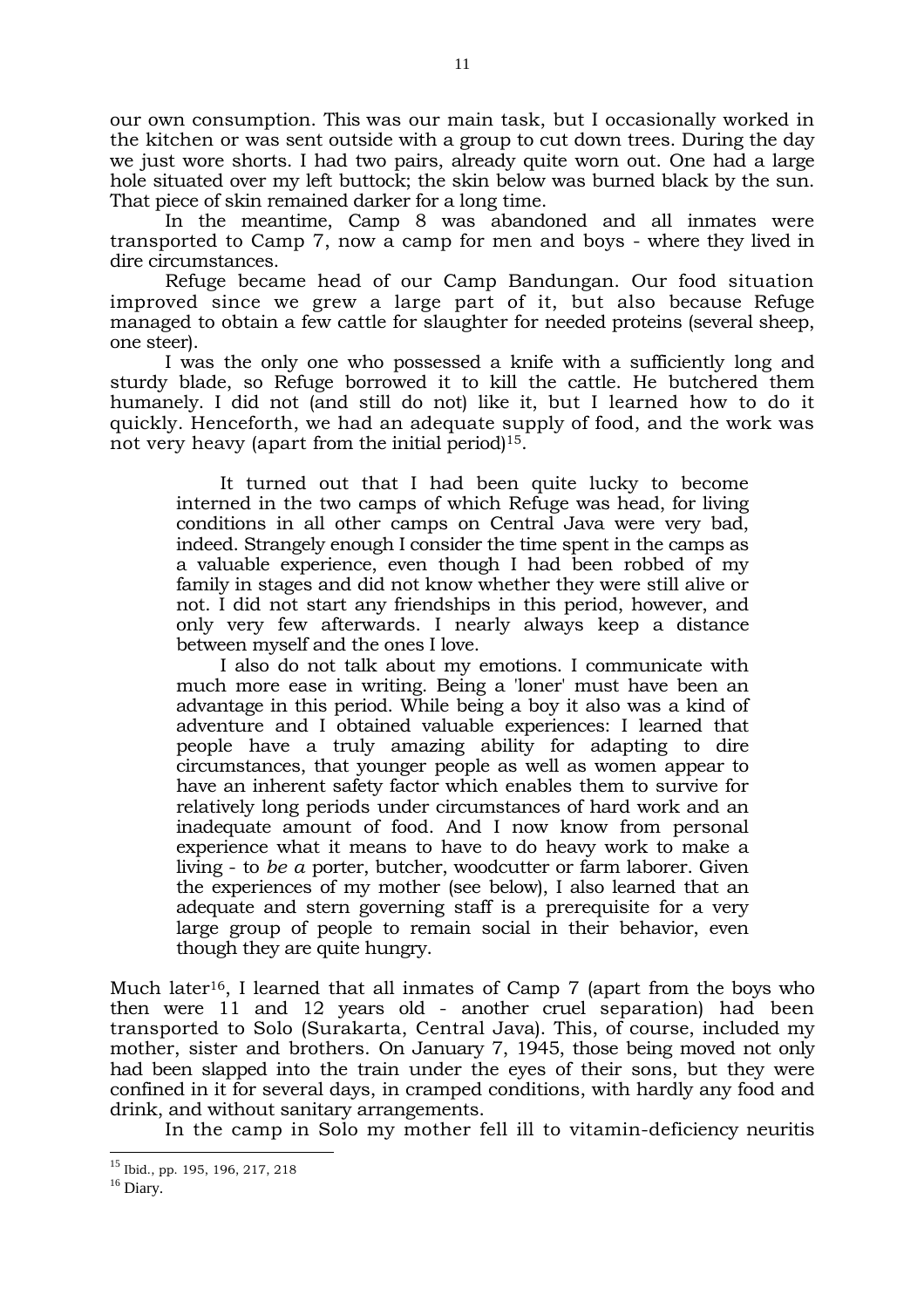our own consumption. This was our main task, but I occasionally worked in the kitchen or was sent outside with a group to cut down trees. During the day we just wore shorts. I had two pairs, already quite worn out. One had a large hole situated over my left buttock; the skin below was burned black by the sun. That piece of skin remained darker for a long time.

In the meantime, Camp 8 was abandoned and all inmates were transported to Camp 7, now a camp for men and boys - where they lived in dire circumstances.

Refuge became head of our Camp Bandungan. Our food situation improved since we grew a large part of it, but also because Refuge managed to obtain a few cattle for slaughter for needed proteins (several sheep, one steer).

I was the only one who possessed a knife with a sufficiently long and sturdy blade, so Refuge borrowed it to kill the cattle. He butchered them humanely. I did not (and still do not) like it, but I learned how to do it quickly. Henceforth, we had an adequate supply of food, and the work was not very heavy (apart from the initial period)<sup>15</sup>.

It turned out that I had been quite lucky to become interned in the two camps of which Refuge was head, for living conditions in all other camps on Central Java were very bad, indeed. Strangely enough I consider the time spent in the camps as a valuable experience, even though I had been robbed of my family in stages and did not know whether they were still alive or not. I did not start any friendships in this period, however, and only very few afterwards. I nearly always keep a distance between myself and the ones I love.

I also do not talk about my emotions. I communicate with much more ease in writing. Being a 'loner' must have been an advantage in this period. While being a boy it also was a kind of adventure and I obtained valuable experiences: I learned that people have a truly amazing ability for adapting to dire circumstances, that younger people as well as women appear to have an inherent safety factor which enables them to survive for relatively long periods under circumstances of hard work and an inadequate amount of food. And I now know from personal experience what it means to have to do heavy work to make a living - to *be a* porter, butcher, woodcutter or farm laborer. Given the experiences of my mother (see below), I also learned that an adequate and stern governing staff is a prerequisite for a very large group of people to remain social in their behavior, even though they are quite hungry.

Much later<sup>16</sup>, I learned that all inmates of Camp 7 (apart from the boys who then were 11 and 12 years old - another cruel separation) had been transported to Solo (Surakarta, Central Java). This, of course, included my mother, sister and brothers. On January 7, 1945, those being moved not only had been slapped into the train under the eyes of their sons, but they were confined in it for several days, in cramped conditions, with hardly any food and drink, and without sanitary arrangements.

In the camp in Solo my mother fell ill to vitamin-deficiency neuritis

<sup>15</sup> Ibid., pp. 195, 196, 217, 218

<sup>&</sup>lt;sup>16</sup> Diary.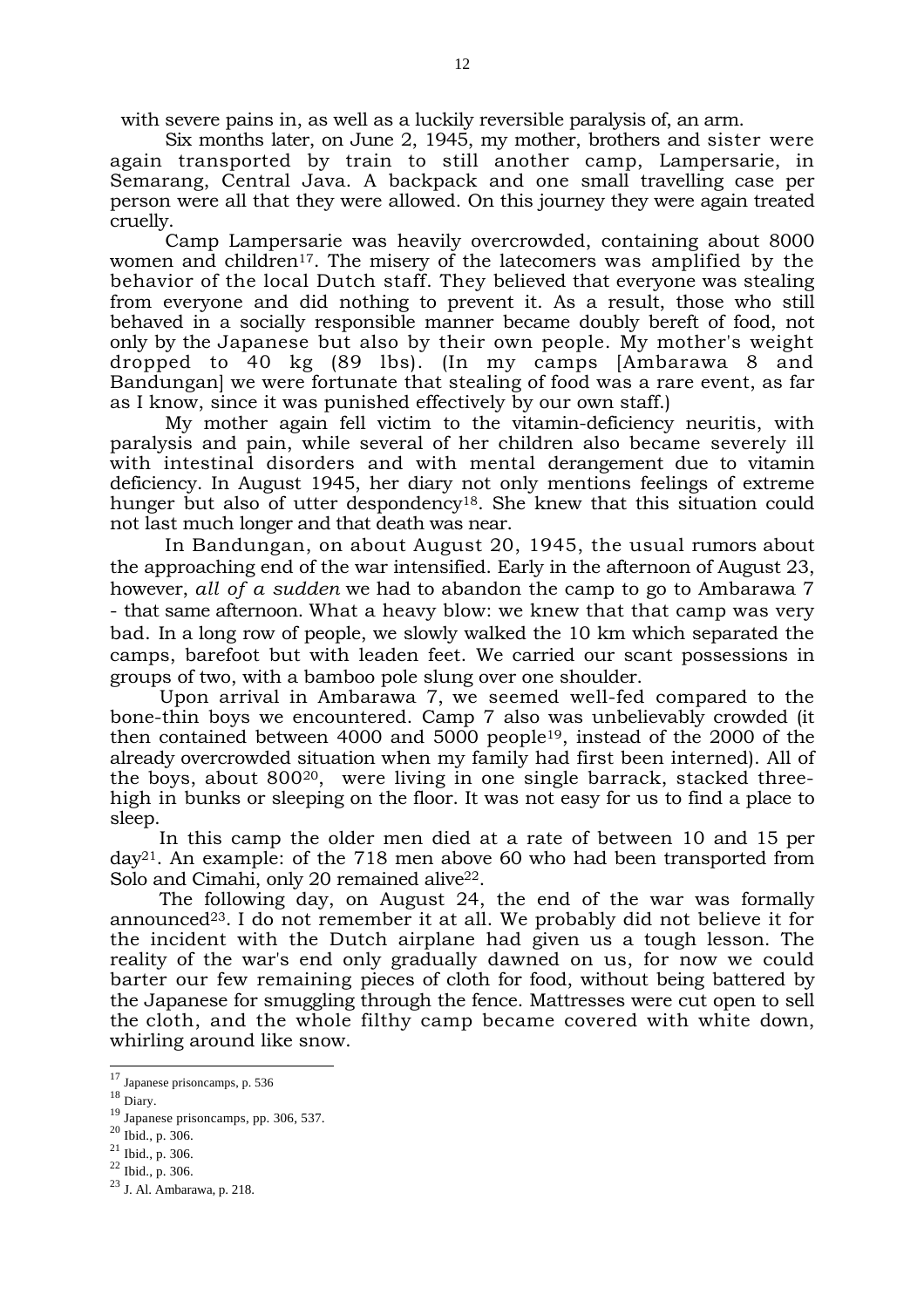with severe pains in, as well as a luckily reversible paralysis of, an arm.

Six months later, on June 2, 1945, my mother, brothers and sister were again transported by train to still another camp, Lampersarie, in Semarang, Central Java. A backpack and one small travelling case per person were all that they were allowed. On this journey they were again treated cruelly.

Camp Lampersarie was heavily overcrowded, containing about 8000 women and children<sup>17</sup>. The misery of the latecomers was amplified by the behavior of the local Dutch staff. They believed that everyone was stealing from everyone and did nothing to prevent it. As a result, those who still behaved in a socially responsible manner became doubly bereft of food, not only by the Japanese but also by their own people. My mother's weight dropped to 40 kg (89 lbs). (In my camps [Ambarawa 8 and Bandungan] we were fortunate that stealing of food was a rare event, as far as I know, since it was punished effectively by our own staff.)

My mother again fell victim to the vitamin-deficiency neuritis, with paralysis and pain, while several of her children also became severely ill with intestinal disorders and with mental derangement due to vitamin deficiency. In August 1945, her diary not only mentions feelings of extreme hunger but also of utter despondency<sup>18</sup>. She knew that this situation could not last much longer and that death was near.

In Bandungan, on about August 20, 1945, the usual rumors about the approaching end of the war intensified. Early in the afternoon of August 23, however, *all of a sudden* we had to abandon the camp to go to Ambarawa 7 - that same afternoon. What a heavy blow: we knew that that camp was very bad. In a long row of people, we slowly walked the 10 km which separated the camps, barefoot but with leaden feet. We carried our scant possessions in groups of two, with a bamboo pole slung over one shoulder.

Upon arrival in Ambarawa 7, we seemed well-fed compared to the bone-thin boys we encountered. Camp 7 also was unbelievably crowded (it then contained between 4000 and 5000 people19, instead of the 2000 of the already overcrowded situation when my family had first been interned). All of the boys, about 80020, were living in one single barrack, stacked threehigh in bunks or sleeping on the floor. It was not easy for us to find a place to sleep.

In this camp the older men died at a rate of between 10 and 15 per  $day^{21}$ . An example: of the 718 men above 60 who had been transported from Solo and Cimahi, only 20 remained alive<sup>22</sup>.

The following day, on August 24, the end of the war was formally announced23. I do not remember it at all. We probably did not believe it for the incident with the Dutch airplane had given us a tough lesson. The reality of the war's end only gradually dawned on us, for now we could barter our few remaining pieces of cloth for food, without being battered by the Japanese for smuggling through the fence. Mattresses were cut open to sell the cloth, and the whole filthy camp became covered with white down, whirling around like snow.

 $17$  Japanese prisoncamps, p. 536

<sup>18</sup> Diary.

<sup>19</sup> Japanese prisoncamps, pp. 306, 537.

<sup>20</sup> Ibid., p. 306.

<sup>21</sup> Ibid., p. 306.

<sup>22</sup> Ibid., p. 306.

<sup>23</sup> J. Al. Ambarawa, p. 218.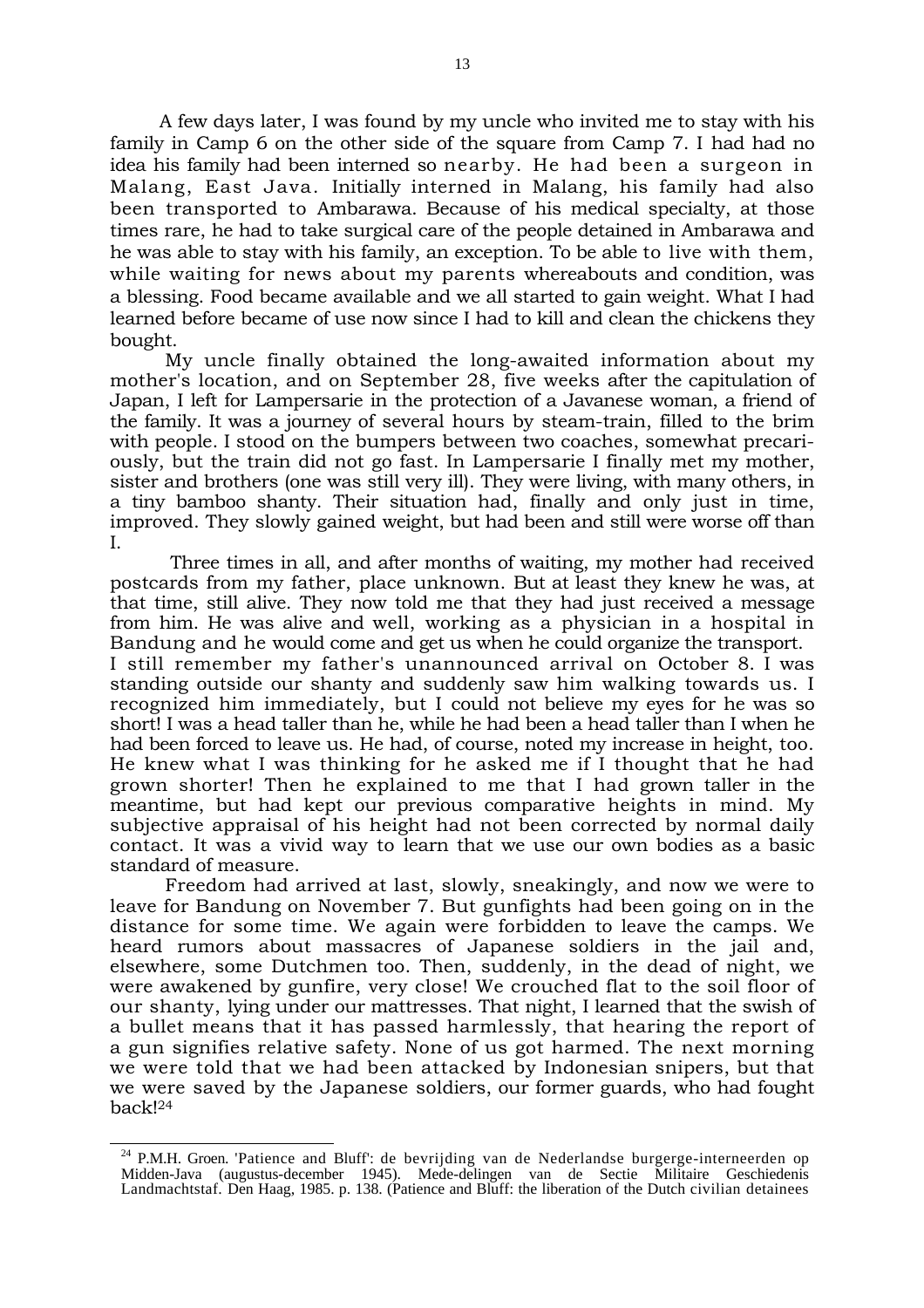A few days later, I was found by my uncle who invited me to stay with his family in Camp 6 on the other side of the square from Camp 7. I had had no idea his family had been interned so nearby. He had been a surgeon in Malang, East Java. Initially interned in Malang, his family had also been transported to Ambarawa. Because of his medical specialty, at those times rare, he had to take surgical care of the people detained in Ambarawa and he was able to stay with his family, an exception. To be able to live with them, while waiting for news about my parents whereabouts and condition, was a blessing. Food became available and we all started to gain weight. What I had learned before became of use now since I had to kill and clean the chickens they bought.

My uncle finally obtained the long-awaited information about my mother's location, and on September 28, five weeks after the capitulation of Japan, I left for Lampersarie in the protection of a Javanese woman, a friend of the family. It was a journey of several hours by steam-train, filled to the brim with people. I stood on the bumpers between two coaches, somewhat precariously, but the train did not go fast. In Lampersarie I finally met my mother, sister and brothers (one was still very ill). They were living, with many others, in a tiny bamboo shanty. Their situation had, finally and only just in time, improved. They slowly gained weight, but had been and still were worse off than I.

Three times in all, and after months of waiting, my mother had received postcards from my father, place unknown. But at least they knew he was, at that time, still alive. They now told me that they had just received a message from him. He was alive and well, working as a physician in a hospital in Bandung and he would come and get us when he could organize the transport. I still remember my father's unannounced arrival on October 8. I was standing outside our shanty and suddenly saw him walking towards us. I recognized him immediately, but I could not believe my eyes for he was so short! I was a head taller than he, while he had been a head taller than I when he had been forced to leave us. He had, of course, noted my increase in height, too. He knew what I was thinking for he asked me if I thought that he had grown shorter! Then he explained to me that I had grown taller in the meantime, but had kept our previous comparative heights in mind. My subjective appraisal of his height had not been corrected by normal daily contact. It was a vivid way to learn that we use our own bodies as a basic standard of measure.

Freedom had arrived at last, slowly, sneakingly, and now we were to leave for Bandung on November 7. But gunfights had been going on in the distance for some time. We again were forbidden to leave the camps. We heard rumors about massacres of Japanese soldiers in the jail and, elsewhere, some Dutchmen too. Then, suddenly, in the dead of night, we were awakened by gunfire, very close! We crouched flat to the soil floor of our shanty, lying under our mattresses. That night, I learned that the swish of a bullet means that it has passed harmlessly, that hearing the report of a gun signifies relative safety. None of us got harmed. The next morning we were told that we had been attacked by Indonesian snipers, but that we were saved by the Japanese soldiers, our former guards, who had fought back!24

<sup>&</sup>lt;sup>24</sup> P.M.H. Groen. 'Patience and Bluff': de bevrijding van de Nederlandse burgerge-interneerden op Midden-Java (augustus-december 1945). Mede-delingen van de Sectie Militaire Geschiedenis Landmachtstaf. Den Haag, 1985. p. 138. (Patience and Bluff: the liberation of the Dutch civilian detainees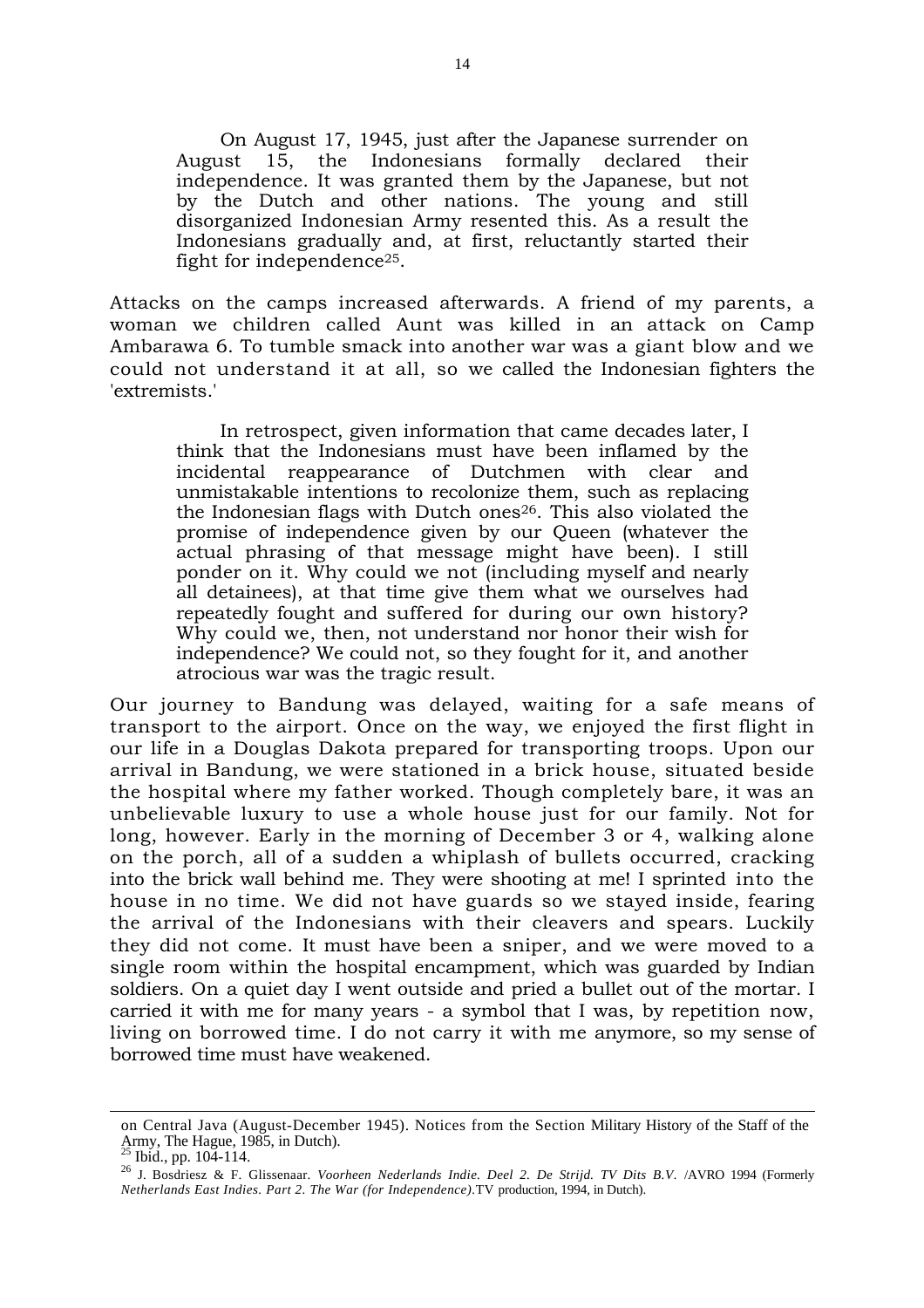On August 17, 1945, just after the Japanese surrender on August 15, the Indonesians formally declared their independence. It was granted them by the Japanese, but not by the Dutch and other nations. The young and still disorganized Indonesian Army resented this. As a result the Indonesians gradually and, at first, reluctantly started their fight for independence25.

Attacks on the camps increased afterwards. A friend of my parents, a woman we children called Aunt was killed in an attack on Camp Ambarawa 6. To tumble smack into another war was a giant blow and we could not understand it at all, so we called the Indonesian fighters the 'extremists.'

In retrospect, given information that came decades later, I think that the Indonesians must have been inflamed by the incidental reappearance of Dutchmen with clear and unmistakable intentions to recolonize them, such as replacing the Indonesian flags with Dutch ones<sup>26</sup>. This also violated the promise of independence given by our Queen (whatever the actual phrasing of that message might have been). I still ponder on it. Why could we not (including myself and nearly all detainees), at that time give them what we ourselves had repeatedly fought and suffered for during our own history? Why could we, then, not understand nor honor their wish for independence? We could not, so they fought for it, and another atrocious war was the tragic result.

Our journey to Bandung was delayed, waiting for a safe means of transport to the airport. Once on the way, we enjoyed the first flight in our life in a Douglas Dakota prepared for transporting troops. Upon our arrival in Bandung, we were stationed in a brick house, situated beside the hospital where my father worked. Though completely bare, it was an unbelievable luxury to use a whole house just for our family. Not for long, however. Early in the morning of December 3 or 4, walking alone on the porch, all of a sudden a whiplash of bullets occurred, cracking into the brick wall behind me. They were shooting at me! I sprinted into the house in no time. We did not have guards so we stayed inside, fearing the arrival of the Indonesians with their cleavers and spears. Luckily they did not come. It must have been a sniper, and we were moved to a single room within the hospital encampment, which was guarded by Indian soldiers. On a quiet day I went outside and pried a bullet out of the mortar. I carried it with me for many years - a symbol that I was, by repetition now, living on borrowed time. I do not carry it with me anymore, so my sense of borrowed time must have weakened.

on Central Java (August-December 1945). Notices from the Section Military History of the Staff of the Army, The Hague, 1985, in Dutch).<br> $^{25}$  Ibid., pp. 104-114.

<sup>&</sup>lt;sup>26</sup> J. Bosdriesz & F. Glissenaar. *Voorheen Nederlands Indie. Deel 2. De Strijd. TV Dits B.V. /AVRO 1994* (Formerly *Netherlands East Indies. Part 2. The War (for Independence).*TV production, 1994, in Dutch).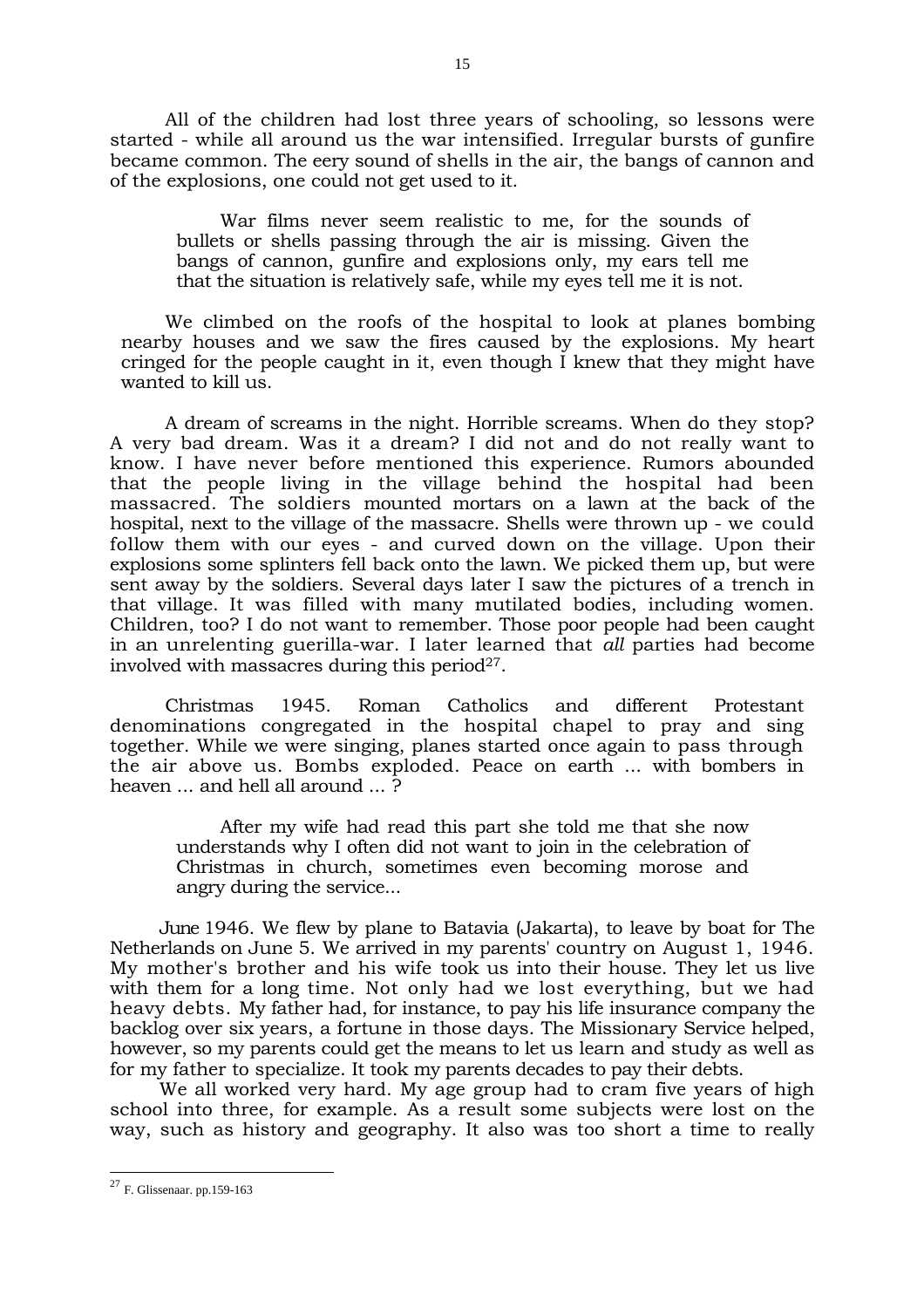All of the children had lost three years of schooling, so lessons were started - while all around us the war intensified. Irregular bursts of gunfire became common. The eery sound of shells in the air, the bangs of cannon and of the explosions, one could not get used to it.

War films never seem realistic to me, for the sounds of bullets or shells passing through the air is missing. Given the bangs of cannon, gunfire and explosions only, my ears tell me that the situation is relatively safe, while my eyes tell me it is not.

We climbed on the roofs of the hospital to look at planes bombing nearby houses and we saw the fires caused by the explosions. My heart cringed for the people caught in it, even though I knew that they might have wanted to kill us.

A dream of screams in the night. Horrible screams. When do they stop? A very bad dream. Was it a dream? I did not and do not really want to know. I have never before mentioned this experience. Rumors abounded that the people living in the village behind the hospital had been massacred. The soldiers mounted mortars on a lawn at the back of the hospital, next to the village of the massacre. Shells were thrown up - we could follow them with our eyes - and curved down on the village. Upon their explosions some splinters fell back onto the lawn. We picked them up, but were sent away by the soldiers. Several days later I saw the pictures of a trench in that village. It was filled with many mutilated bodies, including women. Children, too? I do not want to remember. Those poor people had been caught in an unrelenting guerilla-war. I later learned that *all* parties had become involved with massacres during this period<sup>27</sup>.

Christmas 1945. Roman Catholics and different Protestant denominations congregated in the hospital chapel to pray and sing together. While we were singing, planes started once again to pass through the air above us. Bombs exploded. Peace on earth ... with bombers in heaven ... and hell all around ... ?

After my wife had read this part she told me that she now understands why I often did not want to join in the celebration of Christmas in church, sometimes even becoming morose and angry during the service...

June 1946. We flew by plane to Batavia (Jakarta), to leave by boat for The Netherlands on June 5. We arrived in my parents' country on August 1, 1946. My mother's brother and his wife took us into their house. They let us live with them for a long time. Not only had we lost everything, but we had heavy debts. My father had, for instance, to pay his life insurance company the backlog over six years, a fortune in those days. The Missionary Service helped, however, so my parents could get the means to let us learn and study as well as for my father to specialize. It took my parents decades to pay their debts.

We all worked very hard. My age group had to cram five years of high school into three, for example. As a result some subjects were lost on the way, such as history and geography. It also was too short a time to really

 $^{27}$  F. Glissenaar. pp.159-163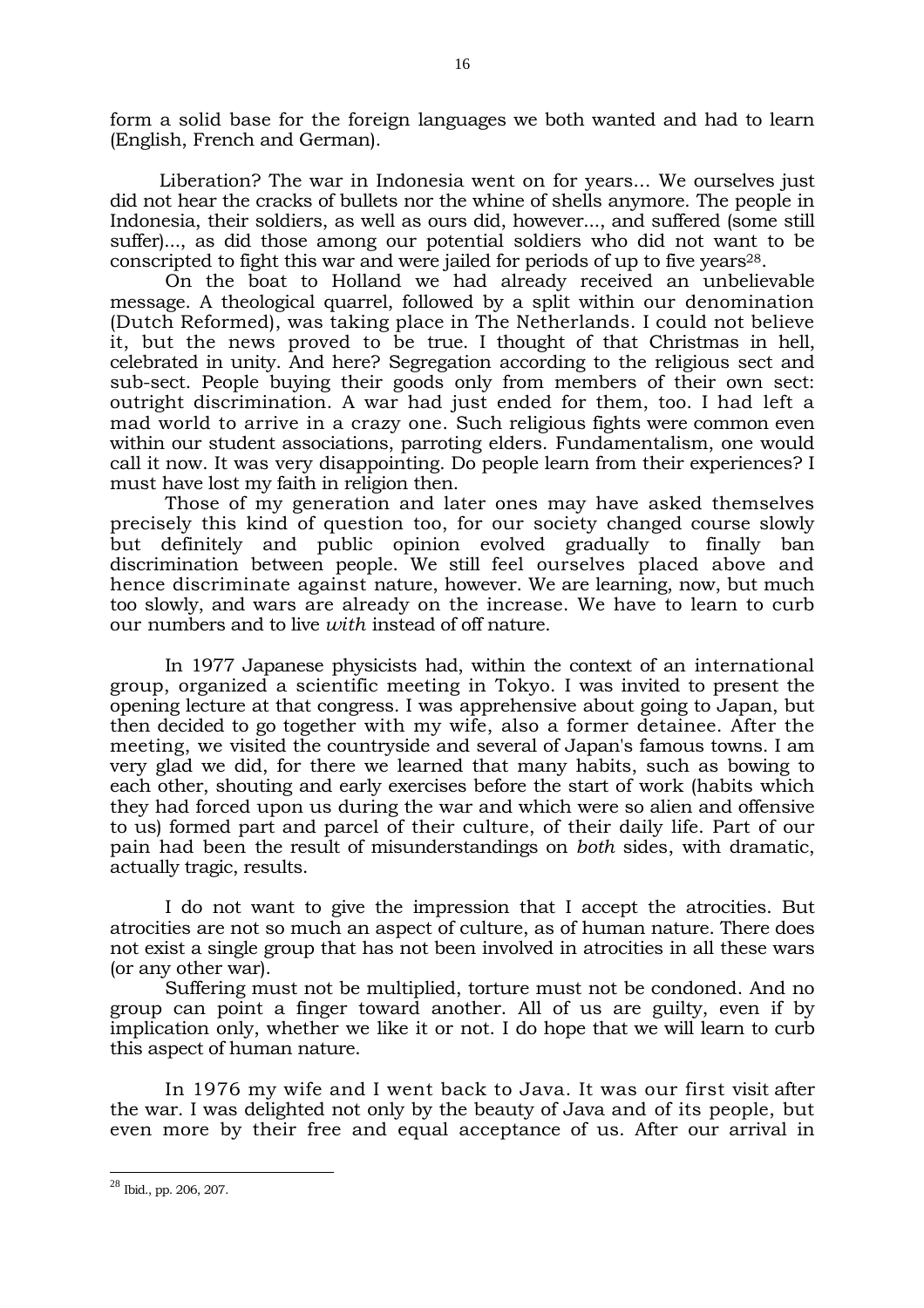form a solid base for the foreign languages we both wanted and had to learn (English, French and German).

Liberation? The war in Indonesia went on for years... We ourselves just did not hear the cracks of bullets nor the whine of shells anymore. The people in Indonesia, their soldiers, as well as ours did, however..., and suffered (some still suffer)..., as did those among our potential soldiers who did not want to be conscripted to fight this war and were jailed for periods of up to five years<sup>28</sup>.

On the boat to Holland we had already received an unbelievable message. A theological quarrel, followed by a split within our denomination (Dutch Reformed), was taking place in The Netherlands. I could not believe it, but the news proved to be true. I thought of that Christmas in hell, celebrated in unity. And here? Segregation according to the religious sect and sub-sect. People buying their goods only from members of their own sect: outright discrimination. A war had just ended for them, too. I had left a mad world to arrive in a crazy one. Such religious fights were common even within our student associations, parroting elders. Fundamentalism, one would call it now. It was very disappointing. Do people learn from their experiences? I must have lost my faith in religion then.

Those of my generation and later ones may have asked themselves precisely this kind of question too, for our society changed course slowly but definitely and public opinion evolved gradually to finally ban discrimination between people. We still feel ourselves placed above and hence discriminate against nature, however. We are learning, now, but much too slowly, and wars are already on the increase. We have to learn to curb our numbers and to live *with* instead of off nature.

In 1977 Japanese physicists had, within the context of an international group, organized a scientific meeting in Tokyo. I was invited to present the opening lecture at that congress. I was apprehensive about going to Japan, but then decided to go together with my wife, also a former detainee. After the meeting, we visited the countryside and several of Japan's famous towns. I am very glad we did, for there we learned that many habits, such as bowing to each other, shouting and early exercises before the start of work (habits which they had forced upon us during the war and which were so alien and offensive to us) formed part and parcel of their culture, of their daily life. Part of our pain had been the result of misunderstandings on *both* sides, with dramatic, actually tragic, results.

I do not want to give the impression that I accept the atrocities. But atrocities are not so much an aspect of culture, as of human nature. There does not exist a single group that has not been involved in atrocities in all these wars (or any other war).

Suffering must not be multiplied, torture must not be condoned. And no group can point a finger toward another. All of us are guilty, even if by implication only, whether we like it or not. I do hope that we will learn to curb this aspect of human nature.

In 1976 my wife and I went back to Java. It was our first visit after the war. I was delighted not only by the beauty of Java and of its people, but even more by their free and equal acceptance of us. After our arrival in

<sup>-</sup> $^{28}$  Ibid., pp. 206, 207.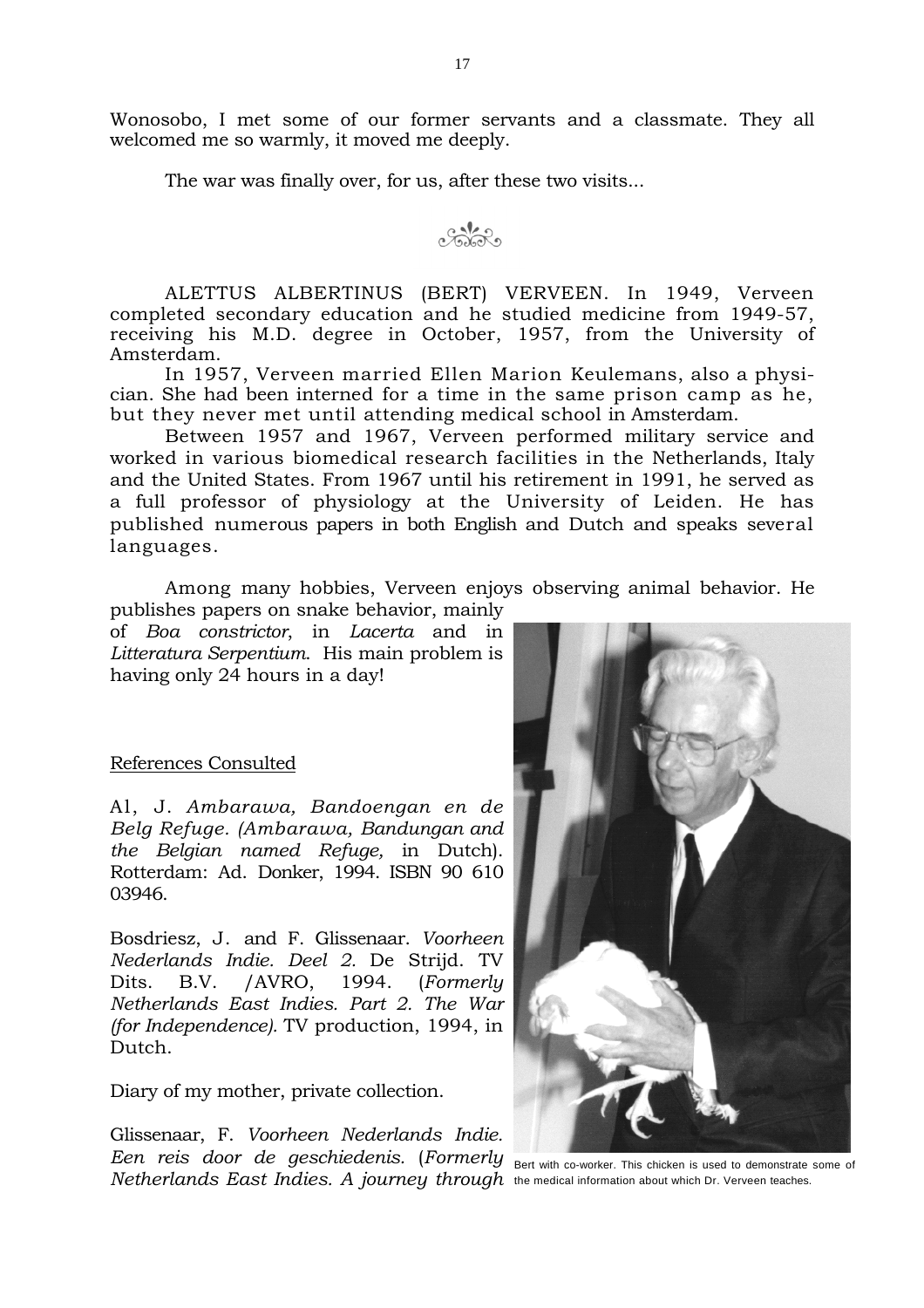Wonosobo, I met some of our former servants and a classmate. They all welcomed me so warmly, it moved me deeply.

The war was finally over, for us, after these two visits...



ALETTUS ALBERTINUS (BERT) VERVEEN. In 1949, Verveen completed secondary education and he studied medicine from 1949-57, receiving his M.D. degree in October, 1957, from the University of Amsterdam.

In 1957, Verveen married Ellen Marion Keulemans, also a physician. She had been interned for a time in the same prison camp as he, but they never met until attending medical school in Amsterdam.

Between 1957 and 1967, Verveen performed military service and worked in various biomedical research facilities in the Netherlands, Italy and the United States. From 1967 until his retirement in 1991, he served as a full professor of physiology at the University of Leiden. He has published numerous papers in both English and Dutch and speaks several languages.

Among many hobbies, Verveen enjoys observing animal behavior. He

publishes papers on snake behavior, mainly of *Boa constrictor*, in *Lacerta* and in *Litteratura Serpentium*. His main problem is having only 24 hours in a day!

## References Consulted

Al, J. *Ambarawa, Bandoengan en de Belg Refuge. (Ambarawa, Bandungan and the Belgian named Refuge,* in Dutch). Rotterdam: Ad. Donker, 1994. ISBN 90 610 03946.

Bosdriesz, J. and F. Glissenaar. *Voorheen Nederlands Indie. Deel 2.* De Strijd. TV Dits. B.V. /AVRO, 1994. (*Formerly Netherlands East Indies. Part 2. The War (for Independence).* TV production, 1994, in Dutch.

Diary of my mother, private collection.

Glissenaar, F. *Voorheen Nederlands Indie.* Een reis door de geschiedenis. (Formerly Bert with co-worker. This chicken is used to demonstrate some of *Netherlands East Indies. A journey through* the medical information about which Dr. Verveen teaches.